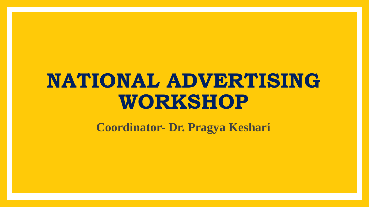## **NATIONAL ADVERTISING WORKSHOP**

**Coordinator- Dr. Pragya Keshari**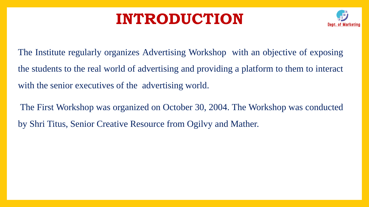### **INTRODUCTION**



The Institute regularly organizes Advertising Workshop with an objective of exposing the students to the real world of advertising and providing a platform to them to interact with the senior executives of the advertising world.

The First Workshop was organized on October 30, 2004. The Workshop was conducted by Shri Titus, Senior Creative Resource from Ogilvy and Mather.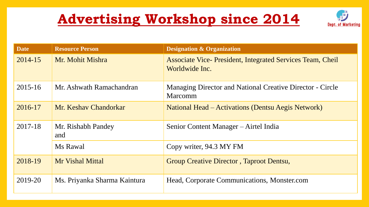### **Advertising Workshop since 2014**



| <b>Date</b> | <b>Resource Person</b>       | <b>Designation &amp; Organization</b>                                               |
|-------------|------------------------------|-------------------------------------------------------------------------------------|
| 2014-15     | Mr. Mohit Mishra             | <b>Associate Vice- President, Integrated Services Team, Cheil</b><br>Worldwide Inc. |
| $2015 - 16$ | Mr. Ashwath Ramachandran     | <b>Managing Director and National Creative Director - Circle</b><br><b>Marcomm</b>  |
| 2016-17     | Mr. Keshav Chandorkar        | <b>National Head – Activations (Dentsu Aegis Network)</b>                           |
| 2017-18     | Mr. Rishabh Pandey<br>and    | Senior Content Manager – Airtel India                                               |
|             | Ms Rawal                     | Copy writer, 94.3 MY FM                                                             |
| 2018-19     | <b>Mr Vishal Mittal</b>      | Group Creative Director, Taproot Dentsu,                                            |
| 2019-20     | Ms. Priyanka Sharma Kaintura | Head, Corporate Communications, Monster.com                                         |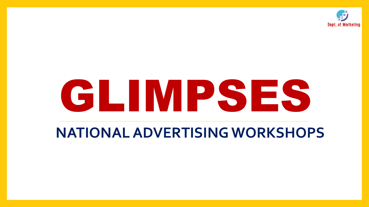

# GLIMPSES

### **NATIONAL ADVERTISING WORKSHOPS**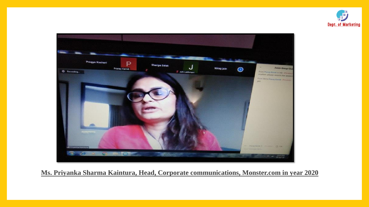



**Ms. Priyanka Sharma Kaintura, Head, Corporate communications, Monster.com in year 2020**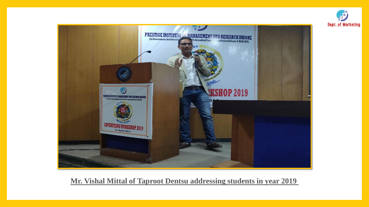



#### **Mr. Vishal Mittal of Taproot Dentsu addressing students in year 2019**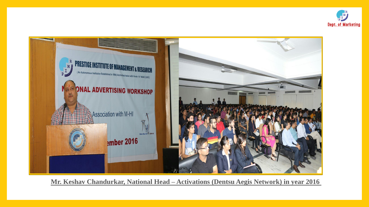



**Mr. Keshav Chandurkar, National Head – Activations (Dentsu Aegis Network) in year 2016**